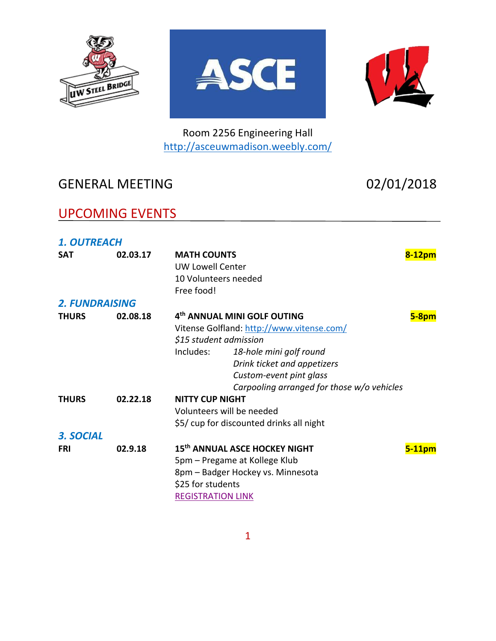





Room 2256 Engineering Hall <http://asceuwmadison.weebly.com/>

# GENERAL MEETING 02/01/2018

# UPCOMING EVENTS

| <b>1. OUTREACH</b>    |          |                                                                                                                                                                                                                                                                |              |
|-----------------------|----------|----------------------------------------------------------------------------------------------------------------------------------------------------------------------------------------------------------------------------------------------------------------|--------------|
| <b>SAT</b>            | 02.03.17 | <b>MATH COUNTS</b><br><b>UW Lowell Center</b><br>10 Volunteers needed<br>Free food!                                                                                                                                                                            | $8-12pm$     |
| <b>2. FUNDRAISING</b> |          |                                                                                                                                                                                                                                                                |              |
| <b>THURS</b>          | 02.08.18 | 4 <sup>th</sup> ANNUAL MINI GOLF OUTING<br>Vitense Golfland: http://www.vitense.com/<br>\$15 student admission<br>Includes:<br>18-hole mini golf round<br>Drink ticket and appetizers<br>Custom-event pint glass<br>Carpooling arranged for those w/o vehicles | <b>5-8pm</b> |
| <b>THURS</b>          | 02.22.18 | <b>NITTY CUP NIGHT</b><br>Volunteers will be needed<br>\$5/ cup for discounted drinks all night                                                                                                                                                                |              |
| 3. SOCIAL             |          |                                                                                                                                                                                                                                                                |              |
| <b>FRI</b>            | 02.9.18  | 15th ANNUAL ASCE HOCKEY NIGHT<br>5pm – Pregame at Kollege Klub<br>8pm - Badger Hockey vs. Minnesota<br>\$25 for students<br><b>REGISTRATION LINK</b>                                                                                                           | $5-11$ pm    |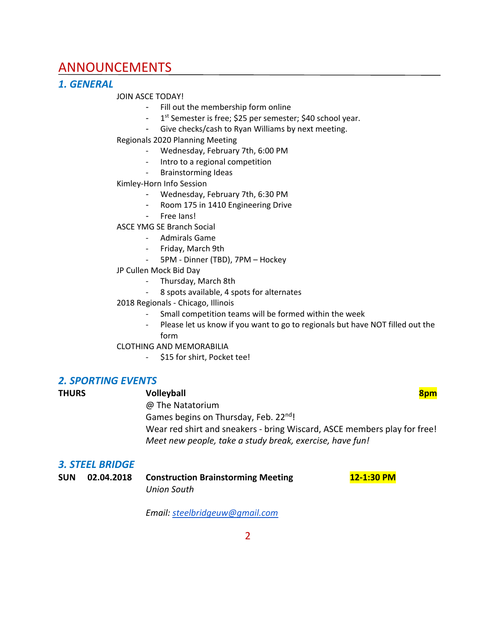## ANNOUNCEMENTS

### *1. GENERAL*

#### JOIN ASCE TODAY!

- Fill out the membership form online
- 1<sup>st</sup> Semester is free; \$25 per semester; \$40 school year.
- Give checks/cash to Ryan Williams by next meeting.

#### Regionals 2020 Planning Meeting

- Wednesday, February 7th, 6:00 PM
- Intro to a regional competition
- Brainstorming Ideas

#### Kimley-Horn Info Session

- Wednesday, February 7th, 6:30 PM
- Room 175 in 1410 Engineering Drive
- Free Ians!

#### ASCE YMG SE Branch Social

- Admirals Game
- Friday, March 9th
- 5PM Dinner (TBD), 7PM Hockey

#### JP Cullen Mock Bid Day

- Thursday, March 8th
- 8 spots available, 4 spots for alternates

#### 2018 Regionals - Chicago, Illinois

- Small competition teams will be formed within the week
- Please let us know if you want to go to regionals but have NOT filled out the form

#### CLOTHING AND MEMORABILIA

- \$15 for shirt, Pocket tee!

### *2. SPORTING EVENTS*

| <b>THURS</b> | <b>Volleyball</b>                                                        |  |  |  |
|--------------|--------------------------------------------------------------------------|--|--|--|
|              | @ The Natatorium                                                         |  |  |  |
|              | Games begins on Thursday, Feb. 22nd!                                     |  |  |  |
|              | Wear red shirt and sneakers - bring Wiscard, ASCE members play for free! |  |  |  |
|              | Meet new people, take a study break, exercise, have fun!                 |  |  |  |

#### *3. STEEL BRIDGE*

| <b>SUN</b> | 02.04.2018 | <b>Construction Brainstorming Meeting</b> | 12-1:30 PM |
|------------|------------|-------------------------------------------|------------|
|            |            | Union South                               |            |

*Email: [steelbridgeuw@gmail.com](mailto:steelbridgeuw@gmail.com)*